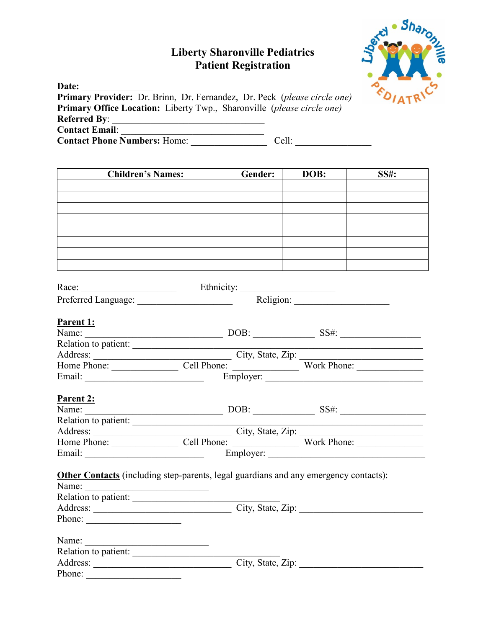## **Liberty Sharonville Pediatrics Patient Registration**



| Date:                                                                           |       |
|---------------------------------------------------------------------------------|-------|
| <b>Primary Provider:</b> Dr. Brinn, Dr. Fernandez, Dr. Peck (please circle one) |       |
| <b>Primary Office Location:</b> Liberty Twp., Sharonville (please circle one)   |       |
| <b>Referred By:</b>                                                             |       |
| <b>Contact Email:</b>                                                           |       |
| <b>Contact Phone Numbers: Home:</b>                                             | Cell: |

| <b>Children's Names:</b>                                                             | <b>Cender:</b> | DOB: | <b>SS#:</b> |
|--------------------------------------------------------------------------------------|----------------|------|-------------|
|                                                                                      |                |      |             |
|                                                                                      |                |      |             |
|                                                                                      |                |      |             |
|                                                                                      |                |      |             |
|                                                                                      |                |      |             |
|                                                                                      |                |      |             |
|                                                                                      |                |      |             |
|                                                                                      |                |      |             |
|                                                                                      |                |      |             |
|                                                                                      |                |      |             |
|                                                                                      |                |      |             |
| Parent 1:                                                                            |                |      |             |
|                                                                                      |                |      |             |
|                                                                                      |                |      |             |
|                                                                                      |                |      |             |
|                                                                                      |                |      |             |
|                                                                                      |                |      |             |
|                                                                                      |                |      |             |
| Parent 2:                                                                            |                |      |             |
|                                                                                      |                |      |             |
|                                                                                      |                |      |             |
|                                                                                      |                |      |             |
|                                                                                      |                |      |             |
|                                                                                      |                |      |             |
|                                                                                      |                |      |             |
| Other Contacts (including step-parents, legal guardians and any emergency contacts): |                |      |             |
| Name:                                                                                |                |      |             |
| Relation to patient:<br>Address: City, State, Zip:                                   |                |      |             |
|                                                                                      |                |      |             |
| Phone:                                                                               |                |      |             |
| Name:                                                                                |                |      |             |
| Relation to patient:                                                                 |                |      |             |
| Address: City, State, Zip:                                                           |                |      |             |
| Phone:                                                                               |                |      |             |